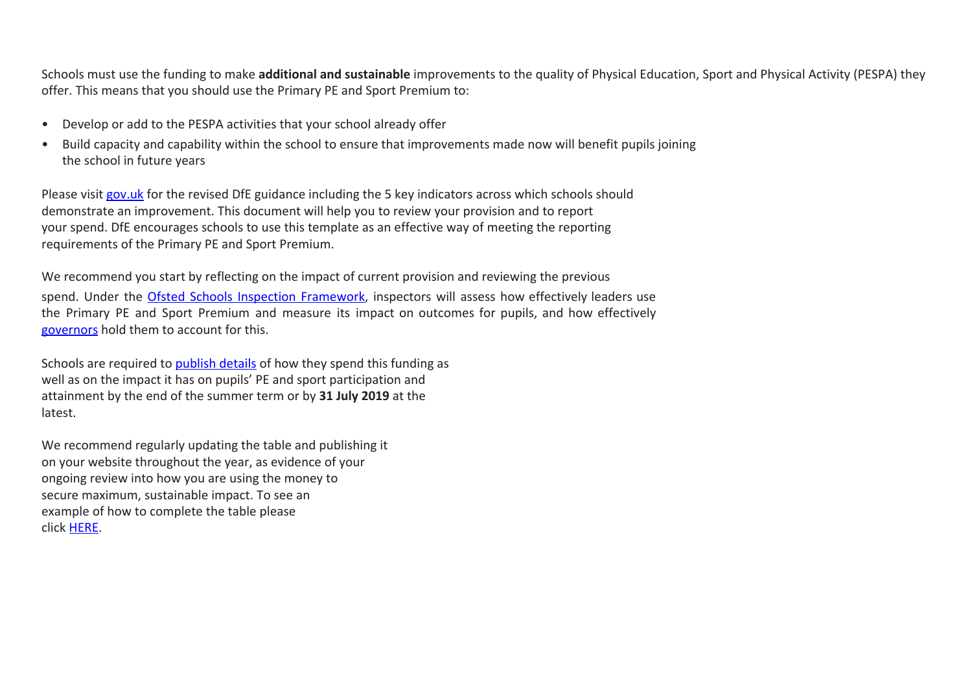Schools must use the funding to make **additional and sustainable** improvements to the quality of Physical Education, Sport and Physical Activity (PESPA) they offer. This means that you should use the Primary PE and Sport Premium to:

- Develop or add to the PESPA activities that your school already offer
- Build capacity and capability within the school to ensure that improvements made now will benefit pupils joining the school in future years

Please visit [gov.uk](https://www.gov.uk/guidance/pe-and-sport-premium-for-primary-schools) for the revised DfE guidance including the 5 key indicators across which schools should demonstrate an improvement. This document will help you to review your provision and to report your spend. DfE encourages schools to use this template as an effective way of meeting the reporting requirements of the Primary PE and Sport Premium.

We recommend you start by reflecting on the impact of current provision and reviewing the previous spend. Under the Ofsted Schools Inspection [Framework](https://www.gov.uk/government/publications/school-inspection-handbook-from-september-2015), inspectors will assess how effectively leaders use the Primary PE and Sport Premium and measure its impact on outcomes for pupils, and how effectively [governors](https://www.gov.uk/government/publications/governance-handbook) hold them to account for this.

Schools are required to **[publish details](https://www.gov.uk/guidance/what-maintained-schools-must-publish-online#pe-and-sport-premium-for-primary-schools)** of how they spend this funding as well as on the impact it has on pupils' PE and sport participation and attainment by the end of the summer term or by **31 July 2019** at the latest.

We recommend regularly updating the table and publishing it on your website throughout the year, as evidence of your ongoing review into how you are using the money to secure maximum, sustainable impact. To see an example of how to complete the table please click [HERE.](http://www.afpe.org.uk/physical-education/wp-content/uploads/afPE-Example-Template-Indicator-2018-Final.pdf)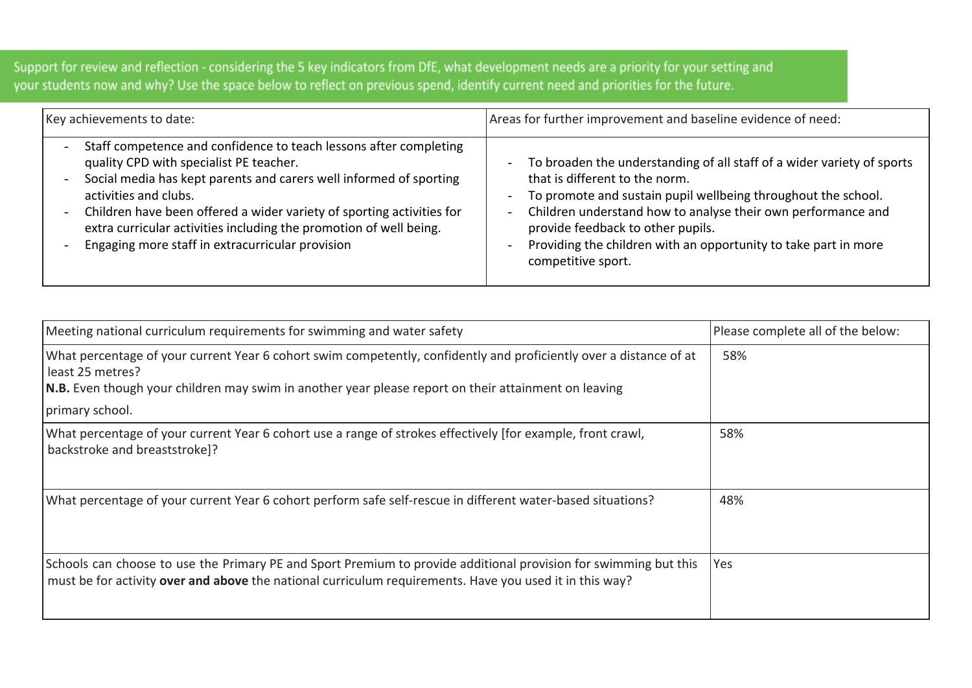Support for review and reflection - considering the 5 key indicators from DfE, what development needs are a priority for your setting and your students now and why? Use the space below to reflect on previous spend, identify current need and priorities for the future.

| Key achievements to date:                                                                                                                                                                                                                                                                                                                                                                                                                  | Areas for further improvement and baseline evidence of need:                                                                                                                                                                                                                                                                                                                                                                |
|--------------------------------------------------------------------------------------------------------------------------------------------------------------------------------------------------------------------------------------------------------------------------------------------------------------------------------------------------------------------------------------------------------------------------------------------|-----------------------------------------------------------------------------------------------------------------------------------------------------------------------------------------------------------------------------------------------------------------------------------------------------------------------------------------------------------------------------------------------------------------------------|
| Staff competence and confidence to teach lessons after completing<br>$\overline{\phantom{0}}$<br>quality CPD with specialist PE teacher.<br>Social media has kept parents and carers well informed of sporting<br>activities and clubs.<br>Children have been offered a wider variety of sporting activities for<br>extra curricular activities including the promotion of well being.<br>Engaging more staff in extracurricular provision | To broaden the understanding of all staff of a wider variety of sports<br>Ξ.<br>that is different to the norm.<br>To promote and sustain pupil wellbeing throughout the school.<br>$\overline{\phantom{a}}$<br>Children understand how to analyse their own performance and<br>$\blacksquare$<br>provide feedback to other pupils.<br>Providing the children with an opportunity to take part in more<br>competitive sport. |

| Meeting national curriculum requirements for swimming and water safety                                                                                                                                                                         | Please complete all of the below: |
|------------------------------------------------------------------------------------------------------------------------------------------------------------------------------------------------------------------------------------------------|-----------------------------------|
| What percentage of your current Year 6 cohort swim competently, confidently and proficiently over a distance of at<br>least 25 metres?<br>N.B. Even though your children may swim in another year please report on their attainment on leaving | 58%                               |
| primary school.                                                                                                                                                                                                                                |                                   |
| What percentage of your current Year 6 cohort use a range of strokes effectively [for example, front crawl,<br>backstroke and breaststroke]?                                                                                                   | 58%                               |
| What percentage of your current Year 6 cohort perform safe self-rescue in different water-based situations?                                                                                                                                    | 48%                               |
| Schools can choose to use the Primary PE and Sport Premium to provide additional provision for swimming but this<br>must be for activity over and above the national curriculum requirements. Have you used it in this way?                    | Yes                               |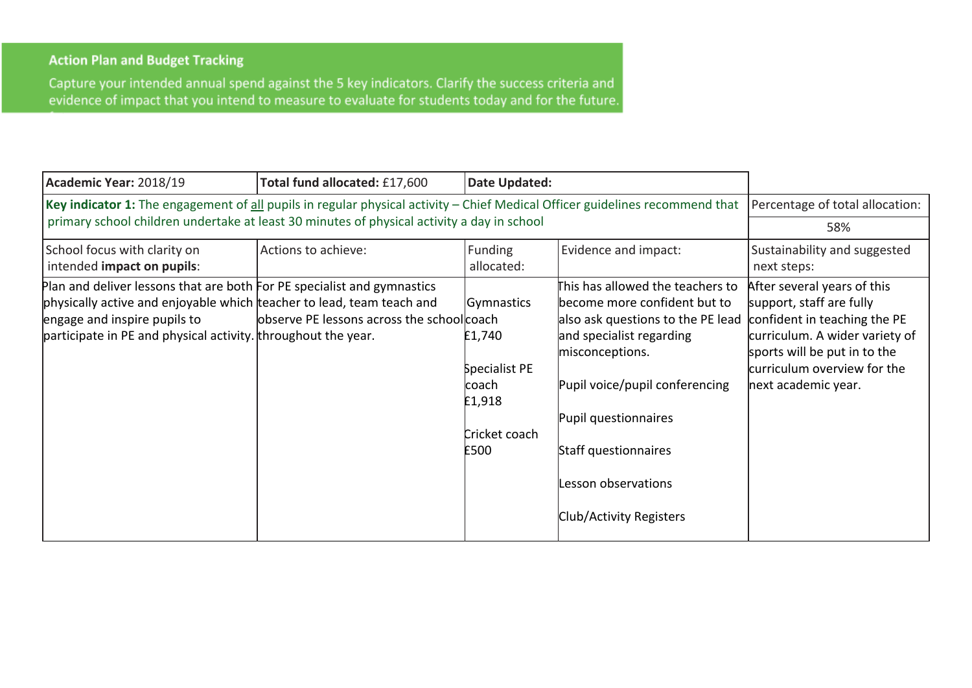## **Action Plan and Budget Tracking**

Capture your intended annual spend against the 5 key indicators. Clarify the success criteria and evidence of impact that you intend to measure to evaluate for students today and for the future.

| Academic Year: 2018/19                                                                                                                                                                                                                            | Total fund allocated: £17,600              | Date Updated:                                                                      |                                                                                                                                                                                                                                                                                          |                                                                                                                                                                                                                 |
|---------------------------------------------------------------------------------------------------------------------------------------------------------------------------------------------------------------------------------------------------|--------------------------------------------|------------------------------------------------------------------------------------|------------------------------------------------------------------------------------------------------------------------------------------------------------------------------------------------------------------------------------------------------------------------------------------|-----------------------------------------------------------------------------------------------------------------------------------------------------------------------------------------------------------------|
| Key indicator 1: The engagement of all pupils in regular physical activity - Chief Medical Officer guidelines recommend that                                                                                                                      | Percentage of total allocation:            |                                                                                    |                                                                                                                                                                                                                                                                                          |                                                                                                                                                                                                                 |
| primary school children undertake at least 30 minutes of physical activity a day in school                                                                                                                                                        | 58%                                        |                                                                                    |                                                                                                                                                                                                                                                                                          |                                                                                                                                                                                                                 |
| School focus with clarity on<br>intended impact on pupils:                                                                                                                                                                                        | Actions to achieve:                        | <b>Funding</b><br>allocated:                                                       | Evidence and impact:                                                                                                                                                                                                                                                                     | Sustainability and suggested<br>next steps:                                                                                                                                                                     |
| Plan and deliver lessons that are both For PE specialist and gymnastics<br>physically active and enjoyable which teacher to lead, team teach and<br>engage and inspire pupils to<br>participate in PE and physical activity. throughout the year. | observe PE lessons across the school coach | Gymnastics<br>£1,740<br>Specialist PE<br>lcoach<br>£1,918<br>Cricket coach<br>£500 | This has allowed the teachers to<br>become more confident but to<br>also ask questions to the PE lead<br>and specialist regarding<br>misconceptions.<br>Pupil voice/pupil conferencing<br>Pupil questionnaires<br>Staff questionnaires<br>Lesson observations<br>Club/Activity Registers | After several years of this<br>support, staff are fully<br>confident in teaching the PE<br>curriculum. A wider variety of<br>sports will be put in to the<br>curriculum overview for the<br>next academic year. |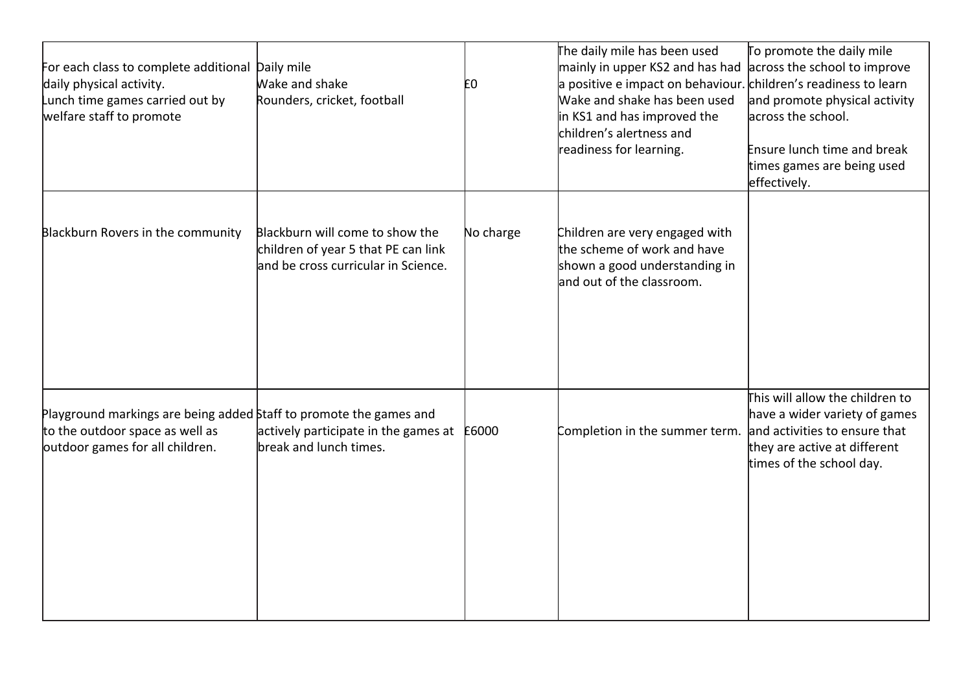| For each class to complete additional<br>daily physical activity.<br>Lunch time games carried out by<br>welfare staff to promote         | Daily mile<br>Wake and shake<br>Rounders, cricket, football                                                   | E0        | The daily mile has been used<br>mainly in upper KS2 and has had<br>a positive e impact on behaviour. children's readiness to learn<br>Wake and shake has been used<br>in KS1 and has improved the<br>children's alertness and<br>readiness for learning. | To promote the daily mile<br>across the school to improve<br>and promote physical activity<br>across the school.<br>Ensure lunch time and break<br>times games are being used<br>effectively. |
|------------------------------------------------------------------------------------------------------------------------------------------|---------------------------------------------------------------------------------------------------------------|-----------|----------------------------------------------------------------------------------------------------------------------------------------------------------------------------------------------------------------------------------------------------------|-----------------------------------------------------------------------------------------------------------------------------------------------------------------------------------------------|
| Blackburn Rovers in the community                                                                                                        | Blackburn will come to show the<br>children of year 5 that PE can link<br>and be cross curricular in Science. | No charge | Children are very engaged with<br>the scheme of work and have<br>shown a good understanding in<br>and out of the classroom.                                                                                                                              |                                                                                                                                                                                               |
| Playground markings are being added Staff to promote the games and<br>to the outdoor space as well as<br>outdoor games for all children. | actively participate in the games at E6000<br>break and lunch times.                                          |           | Completion in the summer term.                                                                                                                                                                                                                           | This will allow the children to<br>have a wider variety of games<br>and activities to ensure that<br>they are active at different<br>times of the school day.                                 |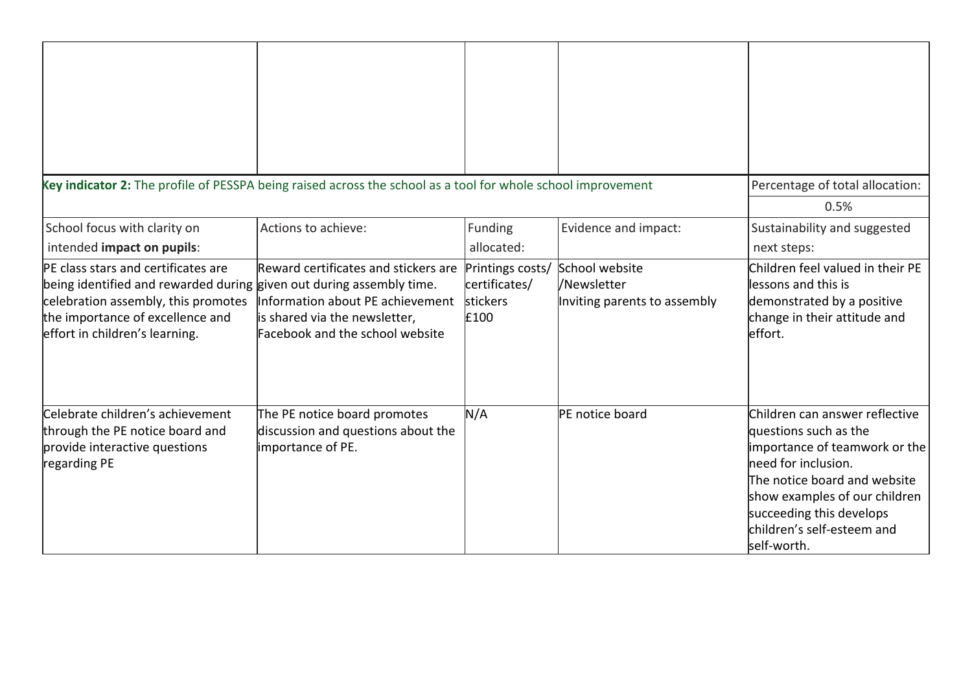| Key indicator 2: The profile of PESSPA being raised across the school as a tool for whole school improvement                                                                                                             |                                                                                                                                              |                                                       |                                                               | Percentage of total allocation:                                                                                                                                                                                                                           |
|--------------------------------------------------------------------------------------------------------------------------------------------------------------------------------------------------------------------------|----------------------------------------------------------------------------------------------------------------------------------------------|-------------------------------------------------------|---------------------------------------------------------------|-----------------------------------------------------------------------------------------------------------------------------------------------------------------------------------------------------------------------------------------------------------|
|                                                                                                                                                                                                                          |                                                                                                                                              |                                                       |                                                               | 0.5%                                                                                                                                                                                                                                                      |
| School focus with clarity on<br>intended impact on pupils:                                                                                                                                                               | Actions to achieve:                                                                                                                          | Funding<br>allocated:                                 | Evidence and impact:                                          | Sustainability and suggested<br>next steps:                                                                                                                                                                                                               |
| PE class stars and certificates are<br>being identified and rewarded during given out during assembly time.<br>celebration assembly, this promotes<br>the importance of excellence and<br>effort in children's learning. | Reward certificates and stickers are<br>Information about PE achievement<br>is shared via the newsletter,<br>Facebook and the school website | Printings costs/<br>certificates/<br>stickers<br>£100 | School website<br>/Newsletter<br>Inviting parents to assembly | Children feel valued in their PE<br>lessons and this is<br>demonstrated by a positive<br>change in their attitude and<br>effort.                                                                                                                          |
| Celebrate children's achievement<br>through the PE notice board and<br>provide interactive questions<br>regarding PE                                                                                                     | The PE notice board promotes<br>discussion and questions about the<br>importance of PE.                                                      | N/A                                                   | PE notice board                                               | Children can answer reflective<br>questions such as the<br>importance of teamwork or the<br>need for inclusion.<br>The notice board and website<br>show examples of our children<br>succeeding this develops<br>children's self-esteem and<br>self-worth. |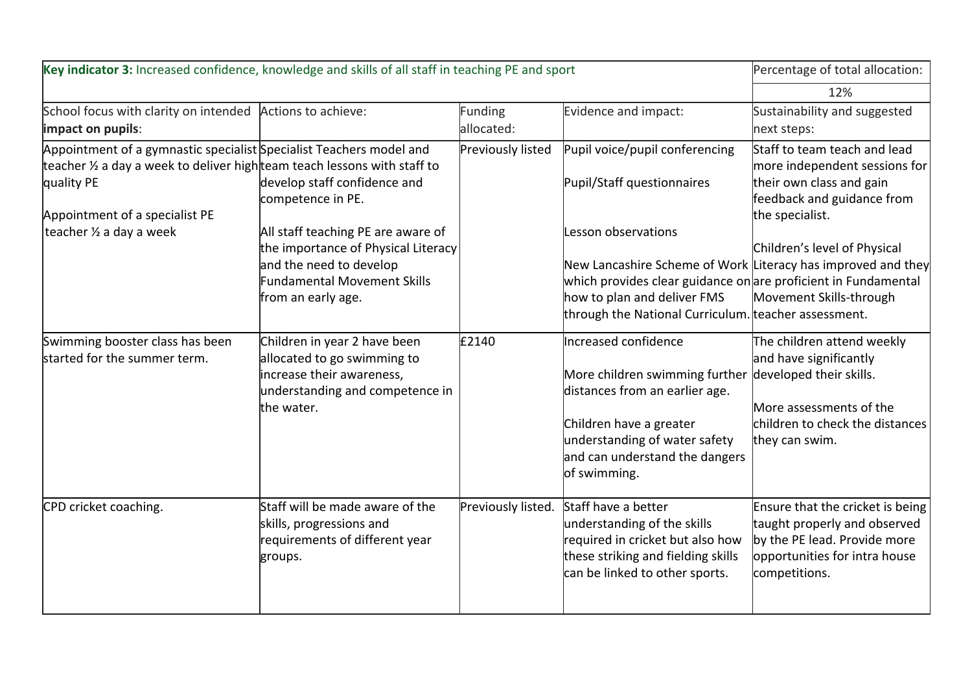| Key indicator 3: Increased confidence, knowledge and skills of all staff in teaching PE and sport                                                                                                                                      | Percentage of total allocation:                                                                                                                                                                                |                              |                                                                                                                                                                                                                                                                                                              |                                                                                                                                                                                                       |
|----------------------------------------------------------------------------------------------------------------------------------------------------------------------------------------------------------------------------------------|----------------------------------------------------------------------------------------------------------------------------------------------------------------------------------------------------------------|------------------------------|--------------------------------------------------------------------------------------------------------------------------------------------------------------------------------------------------------------------------------------------------------------------------------------------------------------|-------------------------------------------------------------------------------------------------------------------------------------------------------------------------------------------------------|
|                                                                                                                                                                                                                                        |                                                                                                                                                                                                                |                              |                                                                                                                                                                                                                                                                                                              | 12%                                                                                                                                                                                                   |
| School focus with clarity on intended Actions to achieve:<br>impact on pupils:                                                                                                                                                         |                                                                                                                                                                                                                | <b>Funding</b><br>allocated: | Evidence and impact:                                                                                                                                                                                                                                                                                         | Sustainability and suggested<br>next steps:                                                                                                                                                           |
| Appointment of a gymnastic specialist Specialist Teachers model and<br>teacher $\frac{1}{2}$ a day a week to deliver high team teach lessons with staff to<br>quality PE<br>Appointment of a specialist PE<br>teacher 1/2 a day a week | develop staff confidence and<br>competence in PE.<br>All staff teaching PE are aware of<br>the importance of Physical Literacy<br>and the need to develop<br>Fundamental Movement Skills<br>from an early age. | Previously listed            | Pupil voice/pupil conferencing<br>Pupil/Staff questionnaires<br>Lesson observations<br>New Lancashire Scheme of Work Literacy has improved and they<br>which provides clear guidance on are proficient in Fundamental<br>how to plan and deliver FMS<br>through the National Curriculum. teacher assessment. | Staff to team teach and lead<br>more independent sessions for<br>their own class and gain<br>feedback and guidance from<br>the specialist.<br>Children's level of Physical<br>Movement Skills-through |
| Swimming booster class has been<br>started for the summer term.                                                                                                                                                                        | Children in year 2 have been<br>allocated to go swimming to<br>increase their awareness,<br>understanding and competence in<br>the water.                                                                      | £2140                        | Increased confidence<br>More children swimming further<br>distances from an earlier age.<br>Children have a greater<br>understanding of water safety<br>and can understand the dangers<br>of swimming.                                                                                                       | The children attend weekly<br>and have significantly<br>developed their skills.<br>More assessments of the<br>children to check the distances<br>they can swim.                                       |
| CPD cricket coaching.                                                                                                                                                                                                                  | Staff will be made aware of the<br>skills, progressions and<br>requirements of different year<br>groups.                                                                                                       | Previously listed.           | Staff have a better<br>understanding of the skills<br>required in cricket but also how<br>these striking and fielding skills<br>can be linked to other sports.                                                                                                                                               | Ensure that the cricket is being<br>taught properly and observed<br>by the PE lead. Provide more<br>opportunities for intra house<br>competitions.                                                    |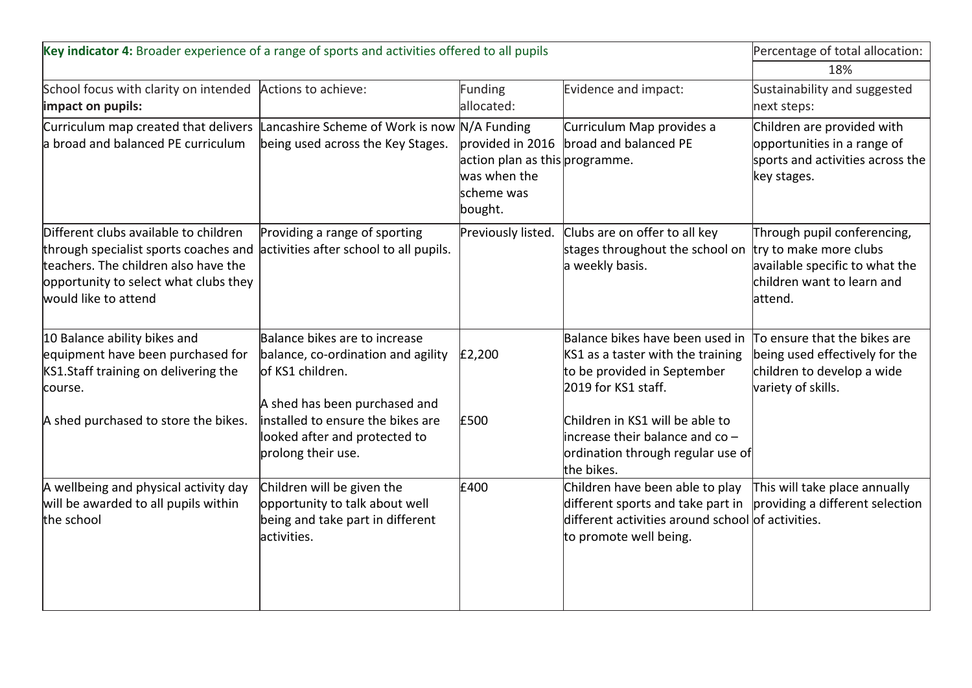| Key indicator 4: Broader experience of a range of sports and activities offered to all pupils                                                                                                                                  |                                                                                                                           |                                                                                             |                                                                                                                                                                                             | Percentage of total allocation:                                                                                                  |
|--------------------------------------------------------------------------------------------------------------------------------------------------------------------------------------------------------------------------------|---------------------------------------------------------------------------------------------------------------------------|---------------------------------------------------------------------------------------------|---------------------------------------------------------------------------------------------------------------------------------------------------------------------------------------------|----------------------------------------------------------------------------------------------------------------------------------|
|                                                                                                                                                                                                                                |                                                                                                                           |                                                                                             |                                                                                                                                                                                             |                                                                                                                                  |
| School focus with clarity on intended<br>impact on pupils:                                                                                                                                                                     | Actions to achieve:                                                                                                       | Funding<br>allocated:                                                                       | Evidence and impact:                                                                                                                                                                        | Sustainability and suggested<br>next steps:                                                                                      |
| Curriculum map created that delivers<br>a broad and balanced PE curriculum                                                                                                                                                     | Lancashire Scheme of Work is now N/A Funding<br>being used across the Key Stages.                                         | provided in 2016<br>action plan as this programme.<br>was when the<br>scheme was<br>bought. | Curriculum Map provides a<br>broad and balanced PE                                                                                                                                          | Children are provided with<br>opportunities in a range of<br>sports and activities across the<br>key stages.                     |
| Different clubs available to children<br>through specialist sports coaches and activities after school to all pupils.<br>teachers. The children also have the<br>opportunity to select what clubs they<br>would like to attend | Providing a range of sporting                                                                                             | Previously listed.                                                                          | Clubs are on offer to all key<br>stages throughout the school on<br>a weekly basis.                                                                                                         | Through pupil conferencing,<br>try to make more clubs<br>available specific to what the<br>children want to learn and<br>attend. |
| 10 Balance ability bikes and<br>equipment have been purchased for<br>KS1.Staff training on delivering the<br>course.                                                                                                           | Balance bikes are to increase<br>balance, co-ordination and agility<br>lof KS1 children.<br>A shed has been purchased and | £2,200                                                                                      | Balance bikes have been used in<br>KS1 as a taster with the training<br>to be provided in September<br>2019 for KS1 staff.                                                                  | To ensure that the bikes are<br>being used effectively for the<br>children to develop a wide<br>variety of skills.               |
| A shed purchased to store the bikes.                                                                                                                                                                                           | installed to ensure the bikes are<br>looked after and protected to<br>prolong their use.                                  | £500                                                                                        | Children in KS1 will be able to<br>$ $ increase their balance and co -<br>ordination through regular use of<br>the bikes.                                                                   |                                                                                                                                  |
| A wellbeing and physical activity day<br>will be awarded to all pupils within<br>the school                                                                                                                                    | Children will be given the<br>opportunity to talk about well<br>being and take part in different<br>activities.           | £400                                                                                        | Children have been able to play<br>different sports and take part in $\vert$ providing a different selection<br>different activities around school of activities.<br>to promote well being. | This will take place annually                                                                                                    |